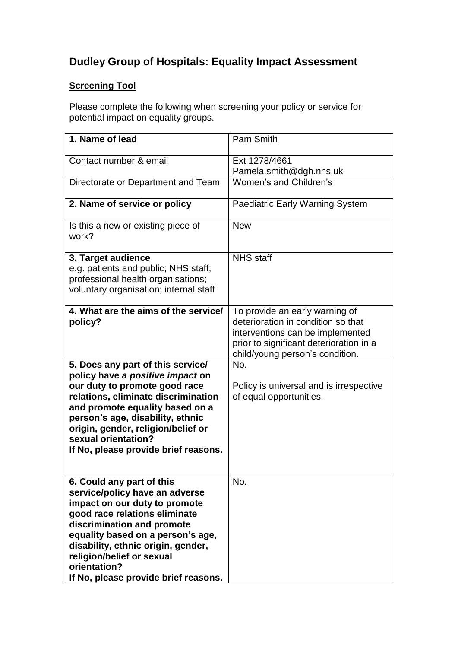# **Dudley Group of Hospitals: Equality Impact Assessment**

## **Screening Tool**

Please complete the following when screening your policy or service for potential impact on equality groups.

| 1. Name of lead                                                                                                                                                                                                                                                                                                             | Pam Smith                                                                                                                                                                              |
|-----------------------------------------------------------------------------------------------------------------------------------------------------------------------------------------------------------------------------------------------------------------------------------------------------------------------------|----------------------------------------------------------------------------------------------------------------------------------------------------------------------------------------|
| Contact number & email                                                                                                                                                                                                                                                                                                      | Ext 1278/4661<br>Pamela.smith@dgh.nhs.uk                                                                                                                                               |
| Directorate or Department and Team                                                                                                                                                                                                                                                                                          | Women's and Children's                                                                                                                                                                 |
| 2. Name of service or policy                                                                                                                                                                                                                                                                                                | <b>Paediatric Early Warning System</b>                                                                                                                                                 |
| Is this a new or existing piece of<br>work?                                                                                                                                                                                                                                                                                 | <b>New</b>                                                                                                                                                                             |
| 3. Target audience<br>e.g. patients and public; NHS staff;<br>professional health organisations;<br>voluntary organisation; internal staff                                                                                                                                                                                  | <b>NHS</b> staff                                                                                                                                                                       |
| 4. What are the aims of the service/<br>policy?                                                                                                                                                                                                                                                                             | To provide an early warning of<br>deterioration in condition so that<br>interventions can be implemented<br>prior to significant deterioration in a<br>child/young person's condition. |
| 5. Does any part of this service/<br>policy have a positive impact on<br>our duty to promote good race<br>relations, eliminate discrimination<br>and promote equality based on a<br>person's age, disability, ethnic<br>origin, gender, religion/belief or<br>sexual orientation?<br>If No, please provide brief reasons.   | No.<br>Policy is universal and is irrespective<br>of equal opportunities.                                                                                                              |
| 6. Could any part of this<br>service/policy have an adverse<br>impact on our duty to promote<br>good race relations eliminate<br>discrimination and promote<br>equality based on a person's age,<br>disability, ethnic origin, gender,<br>religion/belief or sexual<br>orientation?<br>If No, please provide brief reasons. | No.                                                                                                                                                                                    |